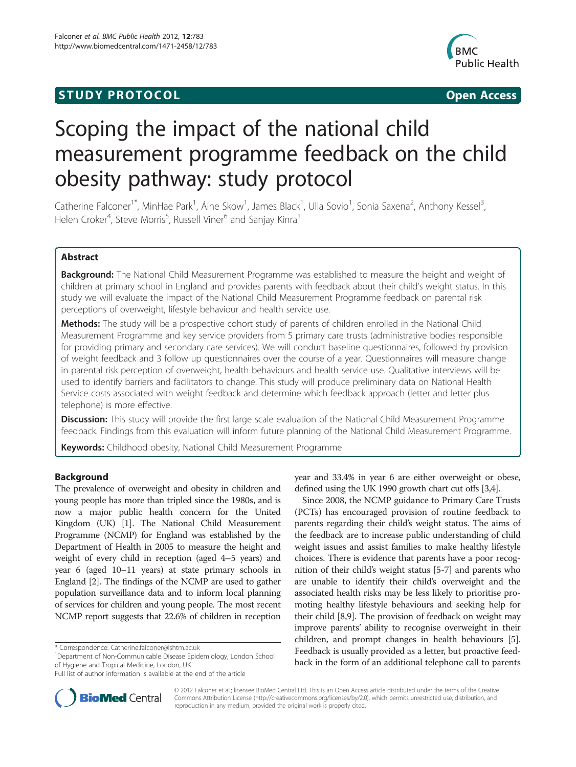## **STUDY PROTOCOL CONSUMING THE CONSUMING OPEN ACCESS**



# Scoping the impact of the national child measurement programme feedback on the child obesity pathway: study protocol

Catherine Falconer<sup>1\*</sup>, MinHae Park<sup>1</sup>, Áine Skow<sup>1</sup>, James Black<sup>1</sup>, Ulla Sovio<sup>1</sup>, Sonia Saxena<sup>2</sup>, Anthony Kessel<sup>3</sup> , Helen Croker<sup>4</sup>, Steve Morris<sup>5</sup>, Russell Viner<sup>6</sup> and Sanjay Kinra<sup>1</sup>

## Abstract

Background: The National Child Measurement Programme was established to measure the height and weight of children at primary school in England and provides parents with feedback about their child's weight status. In this study we will evaluate the impact of the National Child Measurement Programme feedback on parental risk perceptions of overweight, lifestyle behaviour and health service use.

Methods: The study will be a prospective cohort study of parents of children enrolled in the National Child Measurement Programme and key service providers from 5 primary care trusts (administrative bodies responsible for providing primary and secondary care services). We will conduct baseline questionnaires, followed by provision of weight feedback and 3 follow up questionnaires over the course of a year. Questionnaires will measure change in parental risk perception of overweight, health behaviours and health service use. Qualitative interviews will be used to identify barriers and facilitators to change. This study will produce preliminary data on National Health Service costs associated with weight feedback and determine which feedback approach (letter and letter plus telephone) is more effective.

Discussion: This study will provide the first large scale evaluation of the National Child Measurement Programme feedback. Findings from this evaluation will inform future planning of the National Child Measurement Programme.

**Keywords:** Childhood obesity, National Child Measurement Programme

## Background

The prevalence of overweight and obesity in children and young people has more than tripled since the 1980s, and is now a major public health concern for the United Kingdom (UK) [[1\]](#page-4-0). The National Child Measurement Programme (NCMP) for England was established by the Department of Health in 2005 to measure the height and weight of every child in reception (aged 4–5 years) and year 6 (aged 10–11 years) at state primary schools in England [\[2\]](#page-4-0). The findings of the NCMP are used to gather population surveillance data and to inform local planning of services for children and young people. The most recent NCMP report suggests that 22.6% of children in reception

year and 33.4% in year 6 are either overweight or obese, defined using the UK 1990 growth chart cut offs [\[3,4\]](#page-4-0).

Since 2008, the NCMP guidance to Primary Care Trusts (PCTs) has encouraged provision of routine feedback to parents regarding their child's weight status. The aims of the feedback are to increase public understanding of child weight issues and assist families to make healthy lifestyle choices. There is evidence that parents have a poor recognition of their child's weight status [\[5](#page-4-0)-[7](#page-4-0)] and parents who are unable to identify their child's overweight and the associated health risks may be less likely to prioritise promoting healthy lifestyle behaviours and seeking help for their child [[8,9\]](#page-4-0). The provision of feedback on weight may improve parents' ability to recognise overweight in their children, and prompt changes in health behaviours [[5](#page-4-0)]. Feedback is usually provided as a letter, but proactive feedback in the form of an additional telephone call to parents



© 2012 Falconer et al.; licensee BioMed Central Ltd. This is an Open Access article distributed under the terms of the Creative Commons Attribution License [\(http://creativecommons.org/licenses/by/2.0\)](http://creativecommons.org/licenses/by/2.0), which permits unrestricted use, distribution, and reproduction in any medium, provided the original work is properly cited.

<sup>\*</sup> Correspondence: [Catherine.falconer@lshtm.ac.uk](mailto:Catherine.falconer@lshtm.ac.uk) <sup>1</sup>

Department of Non-Communicable Disease Epidemiology, London School of Hygiene and Tropical Medicine, London, UK

Full list of author information is available at the end of the article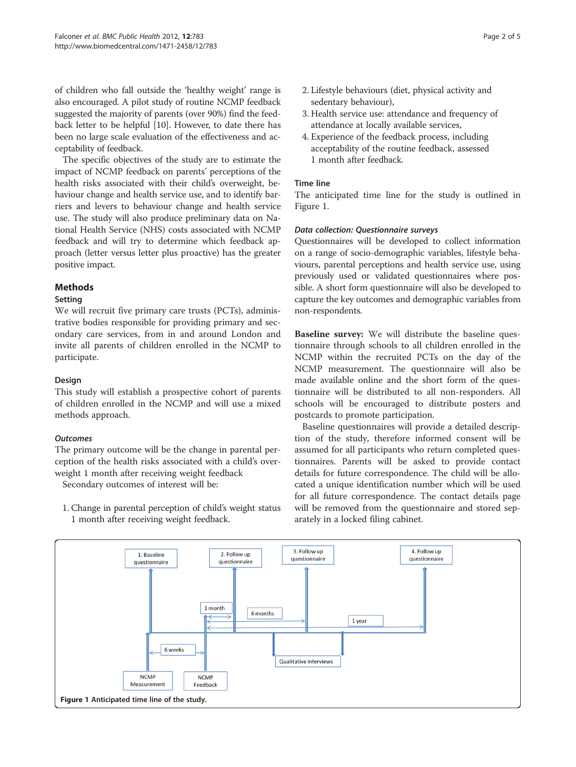of children who fall outside the 'healthy weight' range is also encouraged. A pilot study of routine NCMP feedback suggested the majority of parents (over 90%) find the feedback letter to be helpful [[10](#page-4-0)]. However, to date there has been no large scale evaluation of the effectiveness and acceptability of feedback.

The specific objectives of the study are to estimate the impact of NCMP feedback on parents' perceptions of the health risks associated with their child's overweight, behaviour change and health service use, and to identify barriers and levers to behaviour change and health service use. The study will also produce preliminary data on National Health Service (NHS) costs associated with NCMP feedback and will try to determine which feedback approach (letter versus letter plus proactive) has the greater positive impact.

## **Methods**

## Setting

We will recruit five primary care trusts (PCTs), administrative bodies responsible for providing primary and secondary care services, from in and around London and invite all parents of children enrolled in the NCMP to participate.

## Design

This study will establish a prospective cohort of parents of children enrolled in the NCMP and will use a mixed methods approach.

## **Outcomes**

The primary outcome will be the change in parental perception of the health risks associated with a child's overweight 1 month after receiving weight feedback

Secondary outcomes of interest will be:

1. Change in parental perception of child's weight status 1 month after receiving weight feedback.

- 2. Lifestyle behaviours (diet, physical activity and sedentary behaviour),
- 3. Health service use: attendance and frequency of attendance at locally available services,
- 4. Experience of the feedback process, including acceptability of the routine feedback, assessed 1 month after feedback.

## Time line

The anticipated time line for the study is outlined in Figure 1.

## Data collection: Questionnaire surveys

Questionnaires will be developed to collect information on a range of socio-demographic variables, lifestyle behaviours, parental perceptions and health service use, using previously used or validated questionnaires where possible. A short form questionnaire will also be developed to capture the key outcomes and demographic variables from non-respondents.

Baseline survey: We will distribute the baseline questionnaire through schools to all children enrolled in the NCMP within the recruited PCTs on the day of the NCMP measurement. The questionnaire will also be made available online and the short form of the questionnaire will be distributed to all non-responders. All schools will be encouraged to distribute posters and postcards to promote participation.

Baseline questionnaires will provide a detailed description of the study, therefore informed consent will be assumed for all participants who return completed questionnaires. Parents will be asked to provide contact details for future correspondence. The child will be allocated a unique identification number which will be used for all future correspondence. The contact details page will be removed from the questionnaire and stored separately in a locked filing cabinet.

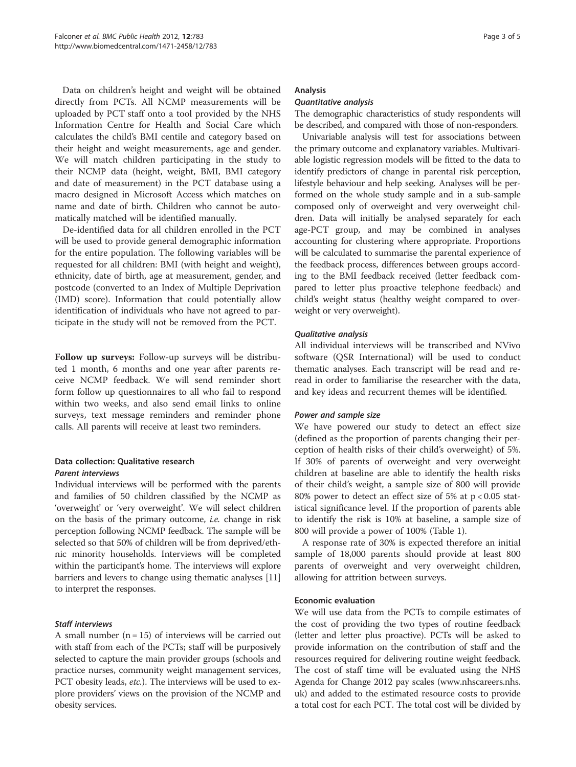Data on children's height and weight will be obtained directly from PCTs. All NCMP measurements will be uploaded by PCT staff onto a tool provided by the NHS Information Centre for Health and Social Care which calculates the child's BMI centile and category based on their height and weight measurements, age and gender. We will match children participating in the study to their NCMP data (height, weight, BMI, BMI category and date of measurement) in the PCT database using a macro designed in Microsoft Access which matches on name and date of birth. Children who cannot be automatically matched will be identified manually.

De-identified data for all children enrolled in the PCT will be used to provide general demographic information for the entire population. The following variables will be requested for all children: BMI (with height and weight), ethnicity, date of birth, age at measurement, gender, and postcode (converted to an Index of Multiple Deprivation (IMD) score). Information that could potentially allow identification of individuals who have not agreed to participate in the study will not be removed from the PCT.

Follow up surveys: Follow-up surveys will be distributed 1 month, 6 months and one year after parents receive NCMP feedback. We will send reminder short form follow up questionnaires to all who fail to respond within two weeks, and also send email links to online surveys, text message reminders and reminder phone calls. All parents will receive at least two reminders.

## Data collection: Qualitative research Parent interviews

Individual interviews will be performed with the parents and families of 50 children classified by the NCMP as 'overweight' or 'very overweight'. We will select children on the basis of the primary outcome, i.e. change in risk perception following NCMP feedback. The sample will be selected so that 50% of children will be from deprived/ethnic minority households. Interviews will be completed within the participant's home. The interviews will explore barriers and levers to change using thematic analyses [[11](#page-4-0)] to interpret the responses.

## Staff interviews

A small number  $(n = 15)$  of interviews will be carried out with staff from each of the PCTs; staff will be purposively selected to capture the main provider groups (schools and practice nurses, community weight management services, PCT obesity leads, etc.). The interviews will be used to explore providers' views on the provision of the NCMP and obesity services.

## Analysis

## Quantitative analysis

The demographic characteristics of study respondents will be described, and compared with those of non-responders.

Univariable analysis will test for associations between the primary outcome and explanatory variables. Multivariable logistic regression models will be fitted to the data to identify predictors of change in parental risk perception, lifestyle behaviour and help seeking. Analyses will be performed on the whole study sample and in a sub-sample composed only of overweight and very overweight children. Data will initially be analysed separately for each age-PCT group, and may be combined in analyses accounting for clustering where appropriate. Proportions will be calculated to summarise the parental experience of the feedback process, differences between groups according to the BMI feedback received (letter feedback compared to letter plus proactive telephone feedback) and child's weight status (healthy weight compared to overweight or very overweight).

## Qualitative analysis

All individual interviews will be transcribed and NVivo software (QSR International) will be used to conduct thematic analyses. Each transcript will be read and reread in order to familiarise the researcher with the data, and key ideas and recurrent themes will be identified.

## Power and sample size

We have powered our study to detect an effect size (defined as the proportion of parents changing their perception of health risks of their child's overweight) of 5%. If 30% of parents of overweight and very overweight children at baseline are able to identify the health risks of their child's weight, a sample size of 800 will provide 80% power to detect an effect size of 5% at p < 0.05 statistical significance level. If the proportion of parents able to identify the risk is 10% at baseline, a sample size of 800 will provide a power of 100% (Table [1\)](#page-3-0).

A response rate of 30% is expected therefore an initial sample of 18,000 parents should provide at least 800 parents of overweight and very overweight children, allowing for attrition between surveys.

## Economic evaluation

We will use data from the PCTs to compile estimates of the cost of providing the two types of routine feedback (letter and letter plus proactive). PCTs will be asked to provide information on the contribution of staff and the resources required for delivering routine weight feedback. The cost of staff time will be evaluated using the NHS Agenda for Change 2012 pay scales [\(www.nhscareers.nhs.](http://www.nhscareers.nhs.uk) [uk\)](http://www.nhscareers.nhs.uk) and added to the estimated resource costs to provide a total cost for each PCT. The total cost will be divided by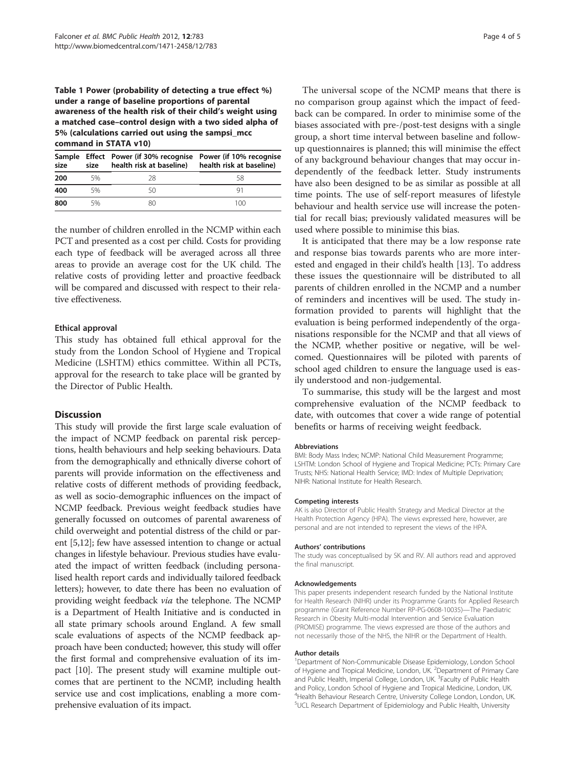<span id="page-3-0"></span>Table 1 Power (probability of detecting a true effect %) under a range of baseline proportions of parental awareness of the health risk of their child's weight using a matched case–control design with a two sided alpha of 5% (calculations carried out using the sampsi\_mcc command in STATA v10)

| size | size | Sample Effect Power (if 30% recognise Power (if 10% recognise<br>health risk at baseline) health risk at baseline) |     |
|------|------|--------------------------------------------------------------------------------------------------------------------|-----|
| 200  | 5%   | 28                                                                                                                 | 58  |
| 400  | 5%   | 50                                                                                                                 | 91  |
| 800  | 5%   | 80                                                                                                                 | 100 |

the number of children enrolled in the NCMP within each PCT and presented as a cost per child. Costs for providing each type of feedback will be averaged across all three areas to provide an average cost for the UK child. The relative costs of providing letter and proactive feedback will be compared and discussed with respect to their relative effectiveness.

#### Ethical approval

This study has obtained full ethical approval for the study from the London School of Hygiene and Tropical Medicine (LSHTM) ethics committee. Within all PCTs, approval for the research to take place will be granted by the Director of Public Health.

## **Discussion**

This study will provide the first large scale evaluation of the impact of NCMP feedback on parental risk perceptions, health behaviours and help seeking behaviours. Data from the demographically and ethnically diverse cohort of parents will provide information on the effectiveness and relative costs of different methods of providing feedback, as well as socio-demographic influences on the impact of NCMP feedback. Previous weight feedback studies have generally focussed on outcomes of parental awareness of child overweight and potential distress of the child or parent [\[5,12\]](#page-4-0); few have assessed intention to change or actual changes in lifestyle behaviour. Previous studies have evaluated the impact of written feedback (including personalised health report cards and individually tailored feedback letters); however, to date there has been no evaluation of providing weight feedback via the telephone. The NCMP is a Department of Health Initiative and is conducted in all state primary schools around England. A few small scale evaluations of aspects of the NCMP feedback approach have been conducted; however, this study will offer the first formal and comprehensive evaluation of its impact [[10\]](#page-4-0). The present study will examine multiple outcomes that are pertinent to the NCMP, including health service use and cost implications, enabling a more comprehensive evaluation of its impact.

The universal scope of the NCMP means that there is no comparison group against which the impact of feedback can be compared. In order to minimise some of the biases associated with pre-/post-test designs with a single group, a short time interval between baseline and followup questionnaires is planned; this will minimise the effect of any background behaviour changes that may occur independently of the feedback letter. Study instruments have also been designed to be as similar as possible at all time points. The use of self-report measures of lifestyle behaviour and health service use will increase the potential for recall bias; previously validated measures will be used where possible to minimise this bias.

It is anticipated that there may be a low response rate and response bias towards parents who are more interested and engaged in their child's health [\[13](#page-4-0)]. To address these issues the questionnaire will be distributed to all parents of children enrolled in the NCMP and a number of reminders and incentives will be used. The study information provided to parents will highlight that the evaluation is being performed independently of the organisations responsible for the NCMP and that all views of the NCMP, whether positive or negative, will be welcomed. Questionnaires will be piloted with parents of school aged children to ensure the language used is easily understood and non-judgemental.

To summarise, this study will be the largest and most comprehensive evaluation of the NCMP feedback to date, with outcomes that cover a wide range of potential benefits or harms of receiving weight feedback.

#### Abbreviations

BMI: Body Mass Index; NCMP: National Child Measurement Programme; LSHTM: London School of Hygiene and Tropical Medicine; PCTs: Primary Care Trusts; NHS: National Health Service; IMD: Index of Multiple Deprivation; NIHR: National Institute for Health Research.

#### Competing interests

AK is also Director of Public Health Strategy and Medical Director at the Health Protection Agency (HPA). The views expressed here, however, are personal and are not intended to represent the views of the HPA.

#### Authors' contributions

The study was conceptualised by SK and RV. All authors read and approved the final manuscript.

#### Acknowledgements

This paper presents independent research funded by the National Institute for Health Research (NIHR) under its Programme Grants for Applied Research programme (Grant Reference Number RP-PG-0608-10035)—The Paediatric Research in Obesity Multi-modal Intervention and Service Evaluation (PROMISE) programme. The views expressed are those of the authors and not necessarily those of the NHS, the NIHR or the Department of Health.

#### Author details

<sup>1</sup>Department of Non-Communicable Disease Epidemiology, London School of Hygiene and Tropical Medicine, London, UK. <sup>2</sup>Department of Primary Care and Public Health, Imperial College, London, UK. <sup>3</sup>Faculty of Public Health and Policy, London School of Hygiene and Tropical Medicine, London, UK. 4 Health Behaviour Research Centre, University College London, London, UK. 5 UCL Research Department of Epidemiology and Public Health, University